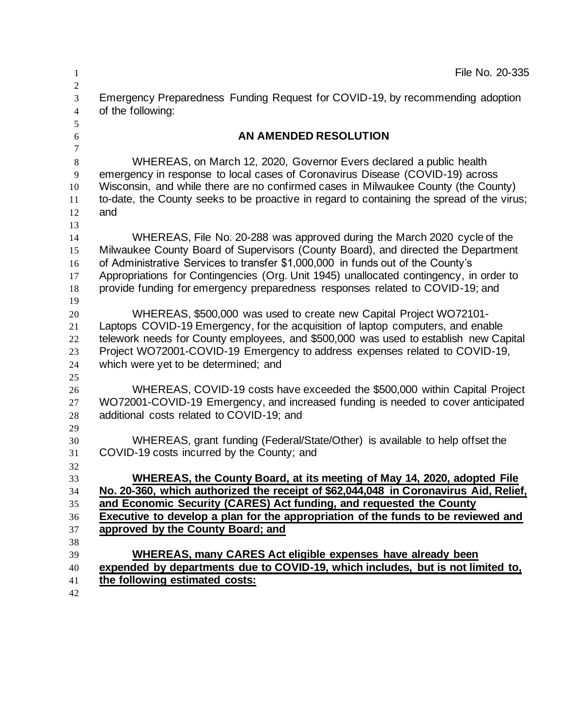| 1                                                | File No. 20-335                                                                                                                                                                  |
|--------------------------------------------------|----------------------------------------------------------------------------------------------------------------------------------------------------------------------------------|
| $\mathbf{2}$<br>$\overline{3}$<br>$\overline{4}$ | Emergency Preparedness Funding Request for COVID-19, by recommending adoption<br>of the following:                                                                               |
| 5<br>$\sqrt{6}$                                  | AN AMENDED RESOLUTION                                                                                                                                                            |
| $\overline{7}$                                   |                                                                                                                                                                                  |
| $\,8\,$<br>9                                     | WHEREAS, on March 12, 2020, Governor Evers declared a public health<br>emergency in response to local cases of Coronavirus Disease (COVID-19) across                             |
| 10<br>11                                         | Wisconsin, and while there are no confirmed cases in Milwaukee County (the County)<br>to-date, the County seeks to be proactive in regard to containing the spread of the virus; |
| 12<br>13                                         | and                                                                                                                                                                              |
| 14                                               | WHEREAS, File No. 20-288 was approved during the March 2020 cycle of the                                                                                                         |
| 15                                               | Milwaukee County Board of Supervisors (County Board), and directed the Department                                                                                                |
| 16                                               | of Administrative Services to transfer \$1,000,000 in funds out of the County's                                                                                                  |
| 17                                               | Appropriations for Contingencies (Org. Unit 1945) unallocated contingency, in order to                                                                                           |
| 18                                               | provide funding for emergency preparedness responses related to COVID-19; and                                                                                                    |
| 19                                               |                                                                                                                                                                                  |
| 20                                               | WHEREAS, \$500,000 was used to create new Capital Project WO72101-                                                                                                               |
| 21                                               | Laptops COVID-19 Emergency, for the acquisition of laptop computers, and enable                                                                                                  |
| 22                                               | telework needs for County employees, and \$500,000 was used to establish new Capital                                                                                             |
| 23                                               | Project WO72001-COVID-19 Emergency to address expenses related to COVID-19,                                                                                                      |
| 24<br>25                                         | which were yet to be determined; and                                                                                                                                             |
| 26                                               | WHEREAS, COVID-19 costs have exceeded the \$500,000 within Capital Project                                                                                                       |
| 27                                               | WO72001-COVID-19 Emergency, and increased funding is needed to cover anticipated                                                                                                 |
| 28                                               | additional costs related to COVID-19; and                                                                                                                                        |
| 29                                               |                                                                                                                                                                                  |
| 30                                               | WHEREAS, grant funding (Federal/State/Other) is available to help offset the                                                                                                     |
| 31                                               | COVID-19 costs incurred by the County; and                                                                                                                                       |
| 32                                               |                                                                                                                                                                                  |
| 33                                               | WHEREAS, the County Board, at its meeting of May 14, 2020, adopted File                                                                                                          |
| 34                                               | No. 20-360, which authorized the receipt of \$62,044,048 in Coronavirus Aid, Relief,                                                                                             |
| 35                                               | and Economic Security (CARES) Act funding, and requested the County                                                                                                              |
| 36                                               | Executive to develop a plan for the appropriation of the funds to be reviewed and                                                                                                |
| 37                                               | approved by the County Board; and                                                                                                                                                |
| 38<br>39                                         | WHEREAS, many CARES Act eligible expenses have already been                                                                                                                      |
| 40                                               | expended by departments due to COVID-19, which includes, but is not limited to,                                                                                                  |
| 41                                               | the following estimated costs:                                                                                                                                                   |
| 42                                               |                                                                                                                                                                                  |
|                                                  |                                                                                                                                                                                  |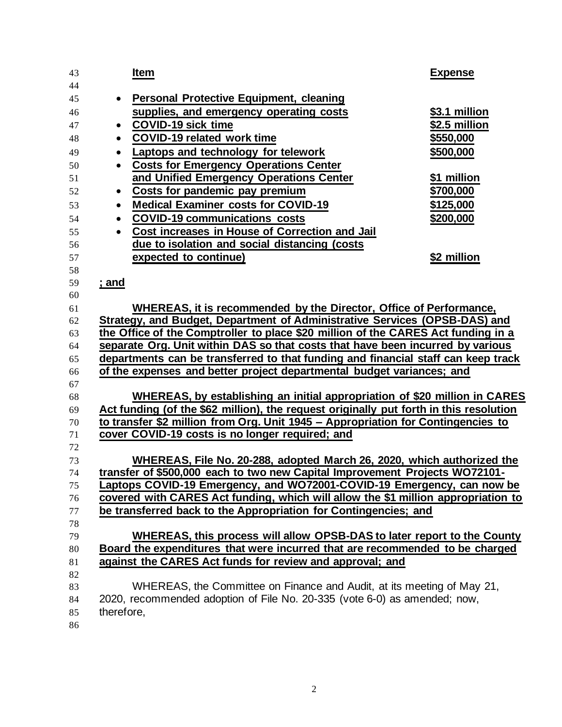| 43       |              | <b>Item</b>                                                                            | <b>Expense</b> |
|----------|--------------|----------------------------------------------------------------------------------------|----------------|
| 44       |              |                                                                                        |                |
| 45       | $\bullet$    | <b>Personal Protective Equipment, cleaning</b>                                         |                |
| 46       |              | supplies, and emergency operating costs                                                | \$3.1 million  |
| 47       | $\bullet$    | <b>COVID-19 sick time</b>                                                              | \$2.5 million  |
| 48       | $\bullet$    | <b>COVID-19 related work time</b>                                                      | \$550,000      |
| 49       | $\bullet$    | Laptops and technology for telework                                                    | \$500,000      |
| 50       | $\bullet$    | <b>Costs for Emergency Operations Center</b>                                           |                |
| 51       |              | and Unified Emergency Operations Center                                                | \$1 million    |
| 52       | $\bullet$    | Costs for pandemic pay premium                                                         | \$700,000      |
| 53       | $\bullet$    | <b>Medical Examiner costs for COVID-19</b>                                             | \$125,000      |
| 54       | $\bullet$    | <b>COVID-19 communications costs</b>                                                   | \$200,000      |
| 55       | $\bullet$    | Cost increases in House of Correction and Jail                                         |                |
| 56       |              | due to isolation and social distancing (costs                                          |                |
| 57       |              | expected to continue)                                                                  | \$2 million    |
| 58       |              |                                                                                        |                |
| 59       | <u>; and</u> |                                                                                        |                |
| 60       |              | WHEREAS, it is recommended by the Director, Office of Performance,                     |                |
| 61       |              | Strategy, and Budget, Department of Administrative Services (OPSB-DAS) and             |                |
| 62<br>63 |              | the Office of the Comptroller to place \$20 million of the CARES Act funding in a      |                |
| 64       |              | separate Org. Unit within DAS so that costs that have been incurred by various         |                |
| 65       |              | departments can be transferred to that funding and financial staff can keep track      |                |
| 66       |              | of the expenses and better project departmental budget variances; and                  |                |
| 67       |              |                                                                                        |                |
| 68       |              | WHEREAS, by establishing an initial appropriation of \$20 million in CARES             |                |
| 69       |              | Act funding (of the \$62 million), the request originally put forth in this resolution |                |
| 70       |              | to transfer \$2 million from Org. Unit 1945 - Appropriation for Contingencies to       |                |
| 71       |              | cover COVID-19 costs is no longer required; and                                        |                |
| 72       |              |                                                                                        |                |
| 73       |              | WHEREAS, File No. 20-288, adopted March 26, 2020, which authorized the                 |                |
| 74       |              | transfer of \$500,000 each to two new Capital Improvement Projects WO72101-            |                |
| 75       |              | Laptops COVID-19 Emergency, and WO72001-COVID-19 Emergency, can now be                 |                |
| 76       |              | covered with CARES Act funding, which will allow the \$1 million appropriation to      |                |
| 77       |              | be transferred back to the Appropriation for Contingencies; and                        |                |
| 78       |              |                                                                                        |                |
| 79       |              | WHEREAS, this process will allow OPSB-DAS to later report to the County                |                |
| 80       |              | Board the expenditures that were incurred that are recommended to be charged           |                |
| 81       |              | against the CARES Act funds for review and approval; and                               |                |
| 82       |              |                                                                                        |                |
| 83       |              | WHEREAS, the Committee on Finance and Audit, at its meeting of May 21,                 |                |
| 84       |              | 2020, recommended adoption of File No. 20-335 (vote 6-0) as amended; now,              |                |
| 85       | therefore,   |                                                                                        |                |
| 86       |              |                                                                                        |                |